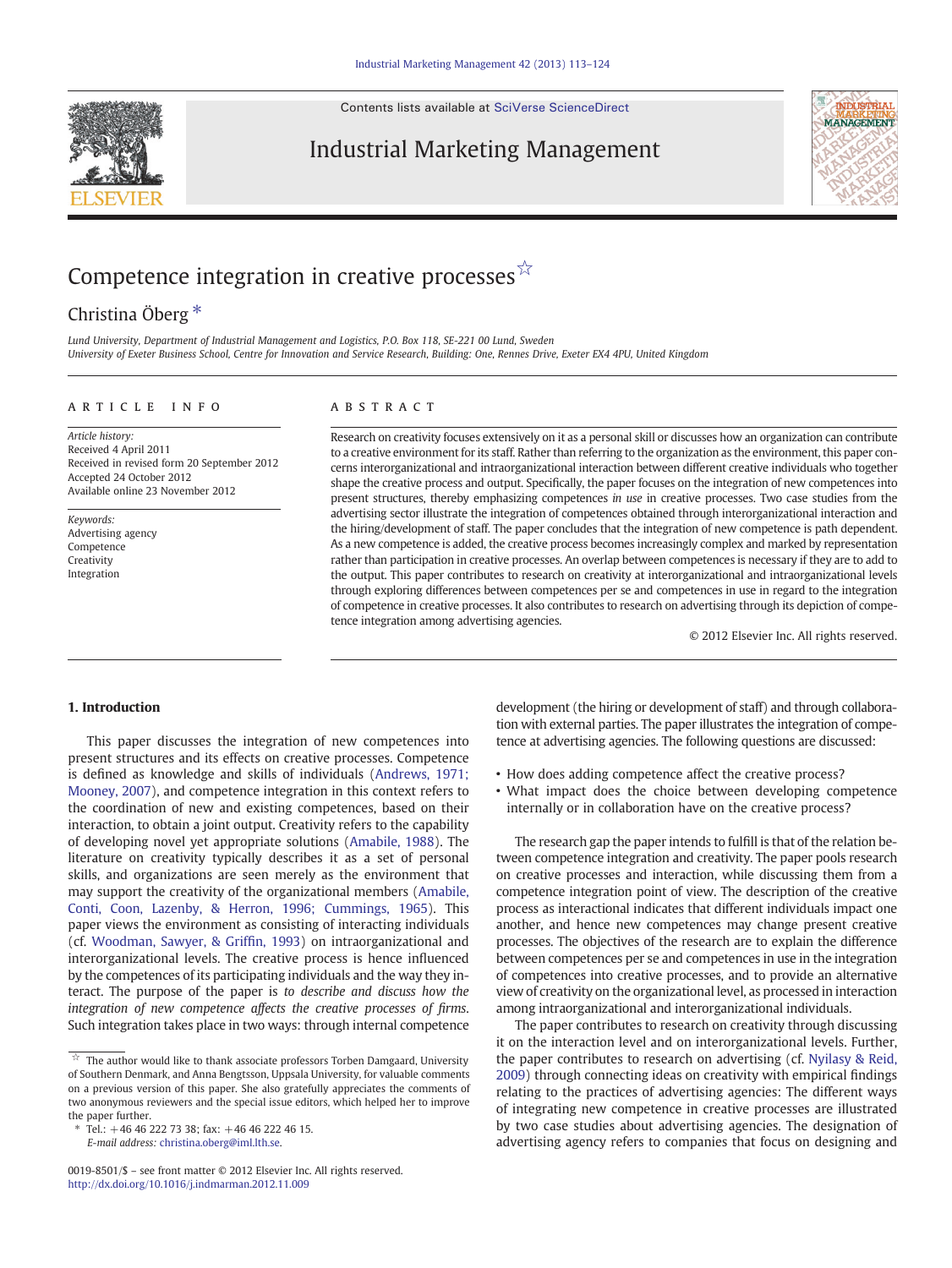Contents lists available at [SciVerse ScienceDirect](http://www.sciencedirect.com/science/journal/00198501)

## Industrial Marketing Management



# Competence integration in creative processes $\vec{r}$

### Christina Öberg<sup>\*</sup>

Lund University, Department of Industrial Management and Logistics, P.O. Box 118, SE-221 00 Lund, Sweden University of Exeter Business School, Centre for Innovation and Service Research, Building: One, Rennes Drive, Exeter EX4 4PU, United Kingdom

#### article info abstract

Article history: Received 4 April 2011 Received in revised form 20 September 2012 Accepted 24 October 2012 Available online 23 November 2012

Keywords: Advertising agency Competence Creativity Integration

Research on creativity focuses extensively on it as a personal skill or discusses how an organization can contribute to a creative environment for its staff. Rather than referring to the organization as the environment, this paper concerns interorganizational and intraorganizational interaction between different creative individuals who together shape the creative process and output. Specifically, the paper focuses on the integration of new competences into present structures, thereby emphasizing competences in use in creative processes. Two case studies from the advertising sector illustrate the integration of competences obtained through interorganizational interaction and the hiring/development of staff. The paper concludes that the integration of new competence is path dependent. As a new competence is added, the creative process becomes increasingly complex and marked by representation rather than participation in creative processes. An overlap between competences is necessary if they are to add to the output. This paper contributes to research on creativity at interorganizational and intraorganizational levels through exploring differences between competences per se and competences in use in regard to the integration of competence in creative processes. It also contributes to research on advertising through its depiction of competence integration among advertising agencies.

© 2012 Elsevier Inc. All rights reserved.

#### 1. Introduction

This paper discusses the integration of new competences into present structures and its effects on creative processes. Competence is defined as knowledge and skills of individuals ([Andrews, 1971;](#page--1-0) [Mooney, 2007\)](#page--1-0), and competence integration in this context refers to the coordination of new and existing competences, based on their interaction, to obtain a joint output. Creativity refers to the capability of developing novel yet appropriate solutions ([Amabile, 1988\)](#page--1-0). The literature on creativity typically describes it as a set of personal skills, and organizations are seen merely as the environment that may support the creativity of the organizational members ([Amabile,](#page--1-0) [Conti, Coon, Lazenby, & Herron, 1996; Cummings, 1965\)](#page--1-0). This paper views the environment as consisting of interacting individuals (cf. [Woodman, Sawyer, & Grif](#page--1-0)fin, 1993) on intraorganizational and interorganizational levels. The creative process is hence influenced by the competences of its participating individuals and the way they interact. The purpose of the paper is to describe and discuss how the integration of new competence affects the creative processes of firms. Such integration takes place in two ways: through internal competence development (the hiring or development of staff) and through collaboration with external parties. The paper illustrates the integration of competence at advertising agencies. The following questions are discussed:

- How does adding competence affect the creative process?
- What impact does the choice between developing competence internally or in collaboration have on the creative process?

The research gap the paper intends to fulfill is that of the relation between competence integration and creativity. The paper pools research on creative processes and interaction, while discussing them from a competence integration point of view. The description of the creative process as interactional indicates that different individuals impact one another, and hence new competences may change present creative processes. The objectives of the research are to explain the difference between competences per se and competences in use in the integration of competences into creative processes, and to provide an alternative view of creativity on the organizational level, as processed in interaction among intraorganizational and interorganizational individuals.

The paper contributes to research on creativity through discussing it on the interaction level and on interorganizational levels. Further, the paper contributes to research on advertising (cf. [Nyilasy & Reid,](#page--1-0) [2009\)](#page--1-0) through connecting ideas on creativity with empirical findings relating to the practices of advertising agencies: The different ways of integrating new competence in creative processes are illustrated by two case studies about advertising agencies. The designation of advertising agency refers to companies that focus on designing and



 $\overrightarrow{a}$  The author would like to thank associate professors Torben Damgaard, University of Southern Denmark, and Anna Bengtsson, Uppsala University, for valuable comments on a previous version of this paper. She also gratefully appreciates the comments of two anonymous reviewers and the special issue editors, which helped her to improve the paper further.

Tel.:  $+46462227338$ ; fax:  $+46462224615$ . E-mail address: [christina.oberg@iml.lth.se](mailto:christina.oberg@iml.lth.se).

<sup>0019-8501/\$</sup> – see front matter © 2012 Elsevier Inc. All rights reserved. <http://dx.doi.org/10.1016/j.indmarman.2012.11.009>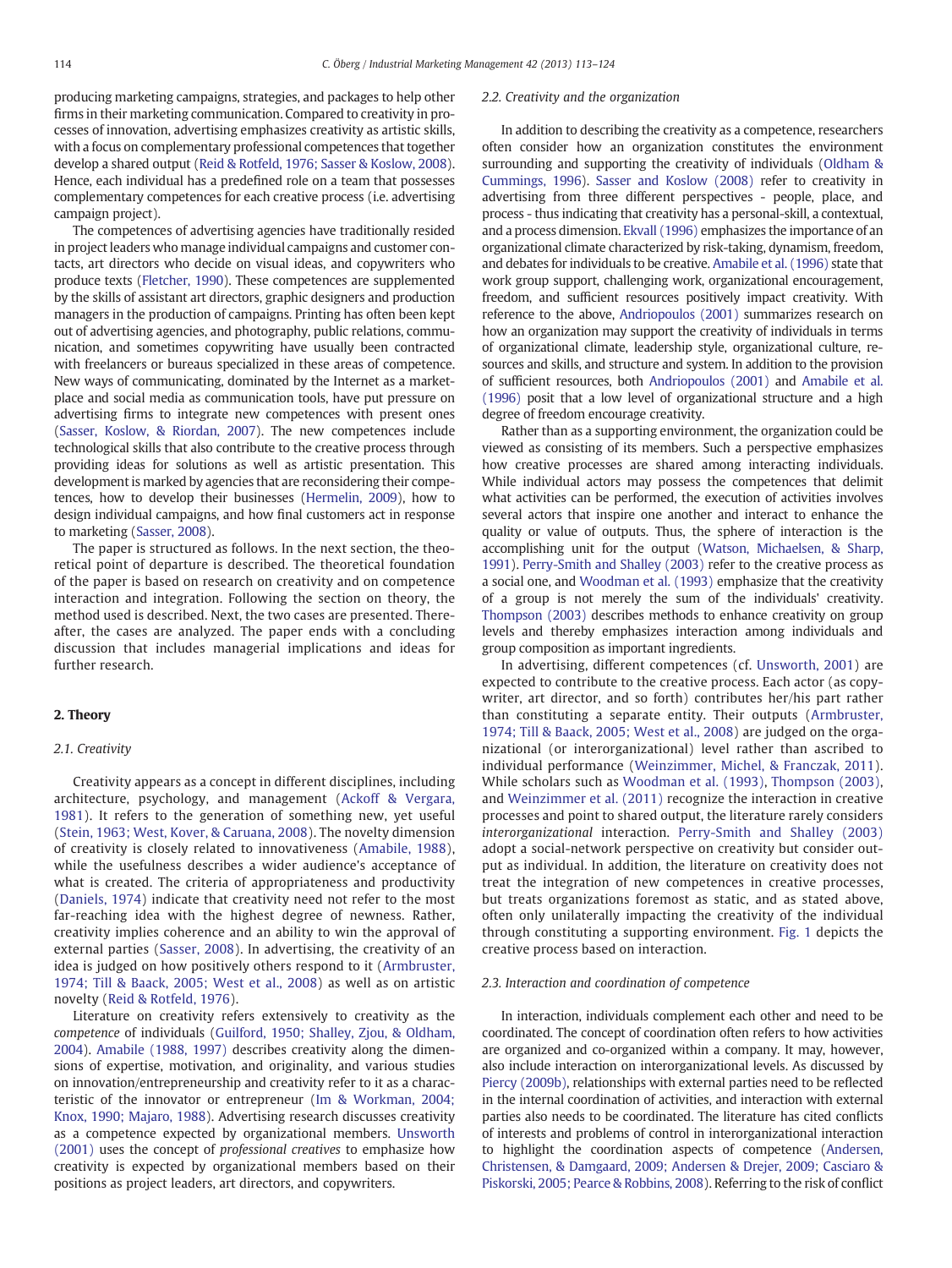producing marketing campaigns, strategies, and packages to help other firms in their marketing communication. Compared to creativity in processes of innovation, advertising emphasizes creativity as artistic skills, with a focus on complementary professional competences that together develop a shared output ([Reid & Rotfeld, 1976; Sasser & Koslow, 2008\)](#page--1-0). Hence, each individual has a predefined role on a team that possesses complementary competences for each creative process (i.e. advertising campaign project).

The competences of advertising agencies have traditionally resided in project leaders who manage individual campaigns and customer contacts, art directors who decide on visual ideas, and copywriters who produce texts [\(Fletcher, 1990\)](#page--1-0). These competences are supplemented by the skills of assistant art directors, graphic designers and production managers in the production of campaigns. Printing has often been kept out of advertising agencies, and photography, public relations, communication, and sometimes copywriting have usually been contracted with freelancers or bureaus specialized in these areas of competence. New ways of communicating, dominated by the Internet as a marketplace and social media as communication tools, have put pressure on advertising firms to integrate new competences with present ones [\(Sasser, Koslow, & Riordan, 2007\)](#page--1-0). The new competences include technological skills that also contribute to the creative process through providing ideas for solutions as well as artistic presentation. This development is marked by agencies that are reconsidering their competences, how to develop their businesses ([Hermelin, 2009\)](#page--1-0), how to design individual campaigns, and how final customers act in response to marketing [\(Sasser, 2008](#page--1-0)).

The paper is structured as follows. In the next section, the theoretical point of departure is described. The theoretical foundation of the paper is based on research on creativity and on competence interaction and integration. Following the section on theory, the method used is described. Next, the two cases are presented. Thereafter, the cases are analyzed. The paper ends with a concluding discussion that includes managerial implications and ideas for further research.

#### 2. Theory

#### 2.1. Creativity

Creativity appears as a concept in different disciplines, including architecture, psychology, and management ([Ackoff & Vergara,](#page--1-0) [1981](#page--1-0)). It refers to the generation of something new, yet useful [\(Stein, 1963; West, Kover, & Caruana, 2008\)](#page--1-0). The novelty dimension of creativity is closely related to innovativeness ([Amabile, 1988](#page--1-0)), while the usefulness describes a wider audience's acceptance of what is created. The criteria of appropriateness and productivity [\(Daniels, 1974](#page--1-0)) indicate that creativity need not refer to the most far-reaching idea with the highest degree of newness. Rather, creativity implies coherence and an ability to win the approval of external parties ([Sasser, 2008\)](#page--1-0). In advertising, the creativity of an idea is judged on how positively others respond to it ([Armbruster,](#page--1-0) [1974; Till & Baack, 2005; West et al., 2008\)](#page--1-0) as well as on artistic novelty ([Reid & Rotfeld, 1976\)](#page--1-0).

Literature on creativity refers extensively to creativity as the competence of individuals ([Guilford, 1950; Shalley, Zjou, & Oldham,](#page--1-0) [2004\)](#page--1-0). [Amabile \(1988, 1997\)](#page--1-0) describes creativity along the dimensions of expertise, motivation, and originality, and various studies on innovation/entrepreneurship and creativity refer to it as a characteristic of the innovator or entrepreneur ([Im & Workman, 2004;](#page--1-0) [Knox, 1990; Majaro, 1988\)](#page--1-0). Advertising research discusses creativity as a competence expected by organizational members. [Unsworth](#page--1-0) [\(2001\)](#page--1-0) uses the concept of professional creatives to emphasize how creativity is expected by organizational members based on their positions as project leaders, art directors, and copywriters.

#### 2.2. Creativity and the organization

In addition to describing the creativity as a competence, researchers often consider how an organization constitutes the environment surrounding and supporting the creativity of individuals ([Oldham &](#page--1-0) [Cummings, 1996\)](#page--1-0). [Sasser and Koslow \(2008\)](#page--1-0) refer to creativity in advertising from three different perspectives - people, place, and process - thus indicating that creativity has a personal-skill, a contextual, and a process dimension. [Ekvall \(1996\)](#page--1-0) emphasizes the importance of an organizational climate characterized by risk-taking, dynamism, freedom, and debates for individuals to be creative. [Amabile et al. \(1996\)](#page--1-0) state that work group support, challenging work, organizational encouragement, freedom, and sufficient resources positively impact creativity. With reference to the above, [Andriopoulos \(2001\)](#page--1-0) summarizes research on how an organization may support the creativity of individuals in terms of organizational climate, leadership style, organizational culture, resources and skills, and structure and system. In addition to the provision of sufficient resources, both [Andriopoulos \(2001\)](#page--1-0) and [Amabile et al.](#page--1-0) [\(1996\)](#page--1-0) posit that a low level of organizational structure and a high degree of freedom encourage creativity.

Rather than as a supporting environment, the organization could be viewed as consisting of its members. Such a perspective emphasizes how creative processes are shared among interacting individuals. While individual actors may possess the competences that delimit what activities can be performed, the execution of activities involves several actors that inspire one another and interact to enhance the quality or value of outputs. Thus, the sphere of interaction is the accomplishing unit for the output ([Watson, Michaelsen, & Sharp,](#page--1-0) [1991\)](#page--1-0). [Perry-Smith and Shalley \(2003\)](#page--1-0) refer to the creative process as a social one, and [Woodman et al. \(1993\)](#page--1-0) emphasize that the creativity of a group is not merely the sum of the individuals' creativity. [Thompson \(2003\)](#page--1-0) describes methods to enhance creativity on group levels and thereby emphasizes interaction among individuals and group composition as important ingredients.

In advertising, different competences (cf. [Unsworth, 2001](#page--1-0)) are expected to contribute to the creative process. Each actor (as copywriter, art director, and so forth) contributes her/his part rather than constituting a separate entity. Their outputs ([Armbruster,](#page--1-0) [1974; Till & Baack, 2005; West et al., 2008](#page--1-0)) are judged on the organizational (or interorganizational) level rather than ascribed to individual performance [\(Weinzimmer, Michel, & Franczak, 2011](#page--1-0)). While scholars such as [Woodman et al. \(1993\)](#page--1-0), [Thompson \(2003\),](#page--1-0) and [Weinzimmer et al. \(2011\)](#page--1-0) recognize the interaction in creative processes and point to shared output, the literature rarely considers interorganizational interaction. [Perry-Smith and Shalley \(2003\)](#page--1-0) adopt a social-network perspective on creativity but consider output as individual. In addition, the literature on creativity does not treat the integration of new competences in creative processes, but treats organizations foremost as static, and as stated above, often only unilaterally impacting the creativity of the individual through constituting a supporting environment. [Fig. 1](#page--1-0) depicts the creative process based on interaction.

#### 2.3. Interaction and coordination of competence

In interaction, individuals complement each other and need to be coordinated. The concept of coordination often refers to how activities are organized and co-organized within a company. It may, however, also include interaction on interorganizational levels. As discussed by [Piercy \(2009b\),](#page--1-0) relationships with external parties need to be reflected in the internal coordination of activities, and interaction with external parties also needs to be coordinated. The literature has cited conflicts of interests and problems of control in interorganizational interaction to highlight the coordination aspects of competence [\(Andersen,](#page--1-0) [Christensen, & Damgaard, 2009; Andersen & Drejer, 2009; Casciaro &](#page--1-0) [Piskorski, 2005; Pearce & Robbins, 2008](#page--1-0)). Referring to the risk of conflict